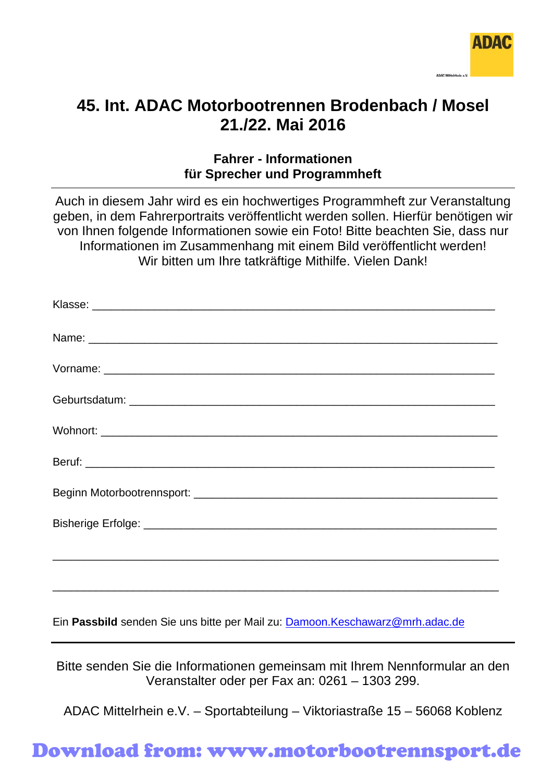

# **45. Int. ADAC Motorbootrennen Brodenbach / Mosel 21./22. Mai 2016**

#### **Fahrer - Informationen für Sprecher und Programmheft**

Auch in diesem Jahr wird es ein hochwertiges Programmheft zur Veranstaltung geben, in dem Fahrerportraits veröffentlicht werden sollen. Hierfür benötigen wir von Ihnen folgende Informationen sowie ein Foto! Bitte beachten Sie, dass nur Informationen im Zusammenhang mit einem Bild veröffentlicht werden! Wir bitten um Ihre tatkräftige Mithilfe. Vielen Dank!

Ein **Passbild** senden Sie uns bitte per Mail zu: [Damoon.Keschawarz@mrh.adac.de](mailto:Damoon.Keschawarz@mrh.adac.de)

Bitte senden Sie die Informationen gemeinsam mit Ihrem Nennformular an den Veranstalter oder per Fax an: 0261 – 1303 299.

ADAC Mittelrhein e.V. – Sportabteilung – Viktoriastraße 15 – 56068 Koblenz

### Download from: www.motorbootrennsport.de